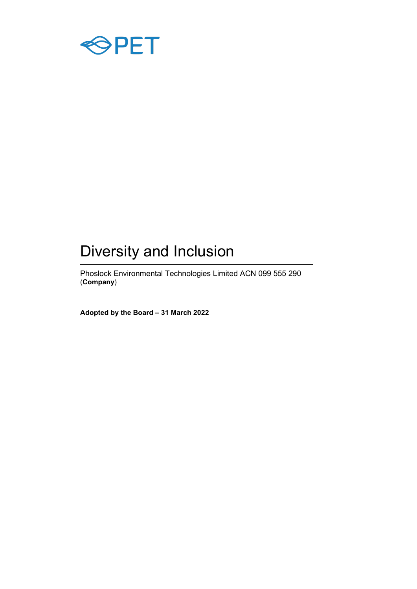

# Diversity and Inclusion

Phoslock Environmental Technologies Limited ACN 099 555 290 (**Company**)

**Adopted by the Board – 31 March 2022**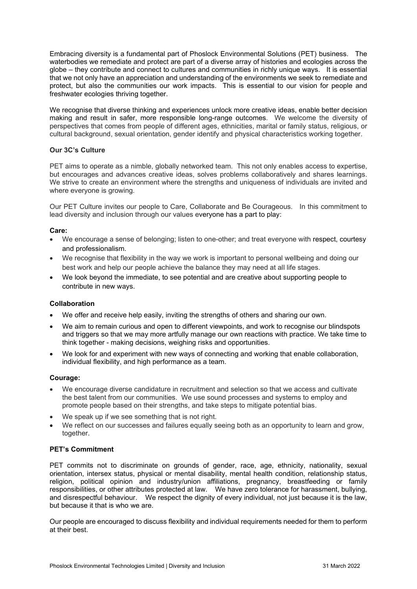Embracing diversity is a fundamental part of Phoslock Environmental Solutions (PET) business. The waterbodies we remediate and protect are part of a diverse array of histories and ecologies across the globe – they contribute and connect to cultures and communities in richly unique ways. It is essential that we not only have an appreciation and understanding of the environments we seek to remediate and protect, but also the communities our work impacts. This is essential to our vision for people and freshwater ecologies thriving together.

We recognise that diverse thinking and experiences unlock more creative ideas, enable better decision making and result in safer, more responsible long-range outcomes. We welcome the diversity of perspectives that comes from people of different ages, ethnicities, marital or family status, religious, or cultural background, sexual orientation, gender identify and physical characteristics working together.

## **Our 3C's Culture**

PET aims to operate as a nimble, globally networked team. This not only enables access to expertise, but encourages and advances creative ideas, solves problems collaboratively and shares learnings. We strive to create an environment where the strengths and uniqueness of individuals are invited and where everyone is growing.

Our PET Culture invites our people to Care, Collaborate and Be Courageous. In this commitment to lead diversity and inclusion through our values everyone has a part to play:

## **Care:**

- We encourage a sense of belonging; listen to one-other; and treat everyone with respect, courtesy and professionalism.
- We recognise that flexibility in the way we work is important to personal wellbeing and doing our best work and help our people achieve the balance they may need at all life stages.
- We look beyond the immediate, to see potential and are creative about supporting people to contribute in new ways.

#### **Collaboration**

- We offer and receive help easily, inviting the strengths of others and sharing our own.
- We aim to remain curious and open to different viewpoints, and work to recognise our blindspots and triggers so that we may more artfully manage our own reactions with practice. We take time to think together - making decisions, weighing risks and opportunities.
- We look for and experiment with new ways of connecting and working that enable collaboration, individual flexibility, and high performance as a team.

#### **Courage:**

- We encourage diverse candidature in recruitment and selection so that we access and cultivate the best talent from our communities. We use sound processes and systems to employ and promote people based on their strengths, and take steps to mitigate potential bias.
- We speak up if we see something that is not right.
- We reflect on our successes and failures equally seeing both as an opportunity to learn and grow, together.

### **PET's Commitment**

PET commits not to discriminate on grounds of gender, race, age, ethnicity, nationality, sexual orientation, intersex status, physical or mental disability, mental health condition, relationship status, religion, political opinion and industry/union affiliations, pregnancy, breastfeeding or family responsibilities, or other attributes protected at law. We have zero tolerance for harassment, bullying, and disrespectful behaviour. We respect the dignity of every individual, not just because it is the law, but because it that is who we are.

Our people are encouraged to discuss flexibility and individual requirements needed for them to perform at their best.